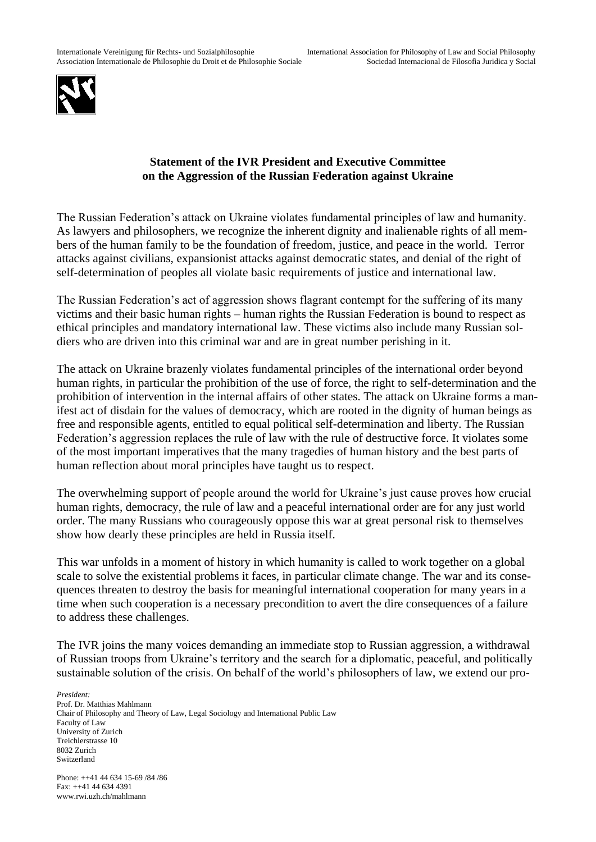

## **Statement of the IVR President and Executive Committee on the Aggression of the Russian Federation against Ukraine**

The Russian Federation's attack on Ukraine violates fundamental principles of law and humanity. As lawyers and philosophers, we recognize the inherent dignity and inalienable rights of all members of the human family to be the foundation of freedom, justice, and peace in the world. Terror attacks against civilians, expansionist attacks against democratic states, and denial of the right of self-determination of peoples all violate basic requirements of justice and international law.

The Russian Federation's act of aggression shows flagrant contempt for the suffering of its many victims and their basic human rights – human rights the Russian Federation is bound to respect as ethical principles and mandatory international law. These victims also include many Russian soldiers who are driven into this criminal war and are in great number perishing in it.

The attack on Ukraine brazenly violates fundamental principles of the international order beyond human rights, in particular the prohibition of the use of force, the right to self-determination and the prohibition of intervention in the internal affairs of other states. The attack on Ukraine forms a manifest act of disdain for the values of democracy, which are rooted in the dignity of human beings as free and responsible agents, entitled to equal political self-determination and liberty. The Russian Federation's aggression replaces the rule of law with the rule of destructive force. It violates some of the most important imperatives that the many tragedies of human history and the best parts of human reflection about moral principles have taught us to respect.

The overwhelming support of people around the world for Ukraine's just cause proves how crucial human rights, democracy, the rule of law and a peaceful international order are for any just world order. The many Russians who courageously oppose this war at great personal risk to themselves show how dearly these principles are held in Russia itself.

This war unfolds in a moment of history in which humanity is called to work together on a global scale to solve the existential problems it faces, in particular climate change. The war and its consequences threaten to destroy the basis for meaningful international cooperation for many years in a time when such cooperation is a necessary precondition to avert the dire consequences of a failure to address these challenges.

The IVR joins the many voices demanding an immediate stop to Russian aggression, a withdrawal of Russian troops from Ukraine's territory and the search for a diplomatic, peaceful, and politically sustainable solution of the crisis. On behalf of the world's philosophers of law, we extend our pro-

*President:* Prof. Dr. Matthias Mahlmann Chair of Philosophy and Theory of Law, Legal Sociology and International Public Law Faculty of Law University of Zurich Treichlerstrasse 10 8032 Zurich Switzerland

Phone: ++41 44 634 15-69 /84 /86 Fax: ++41 44 634 4391 www.rwi.uzh.ch/mahlmann